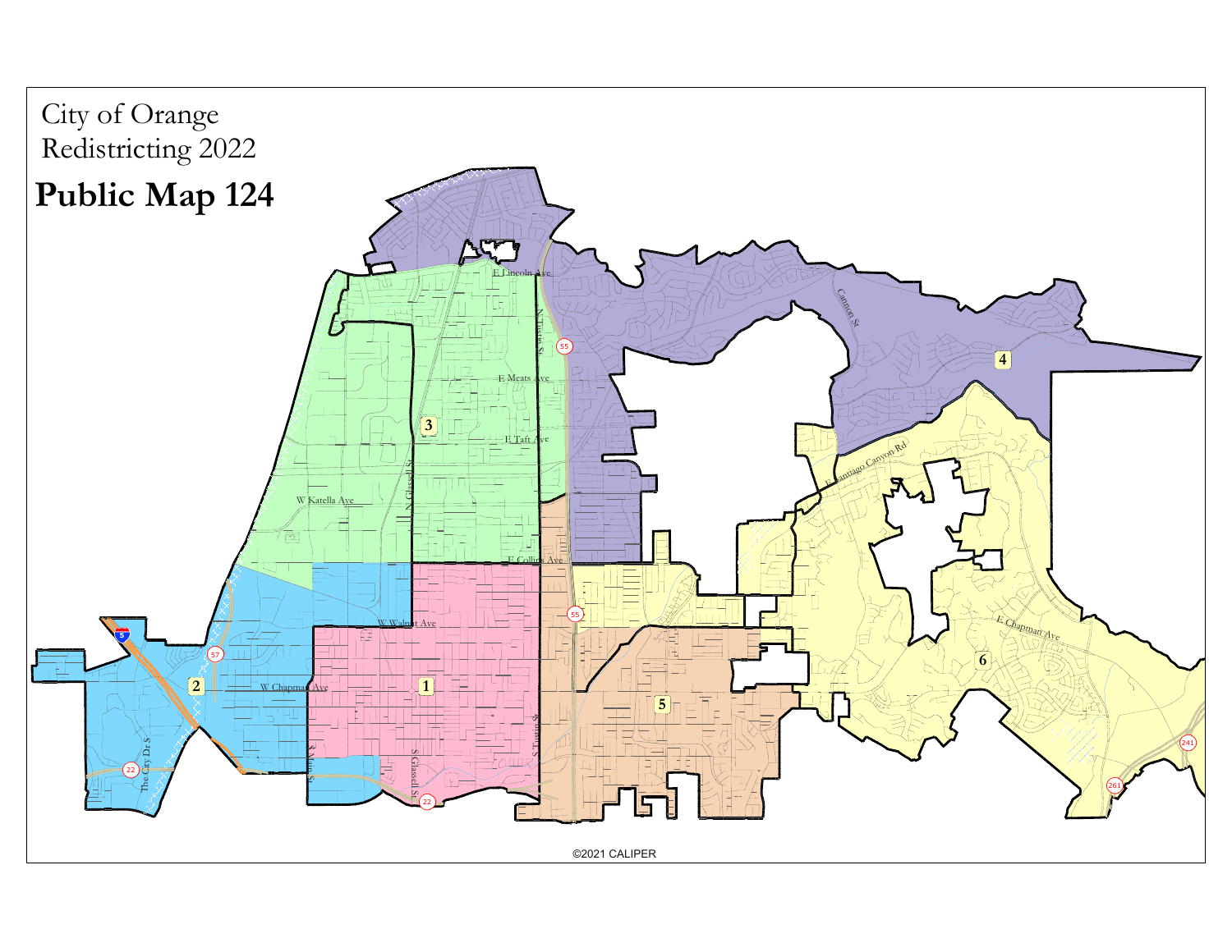